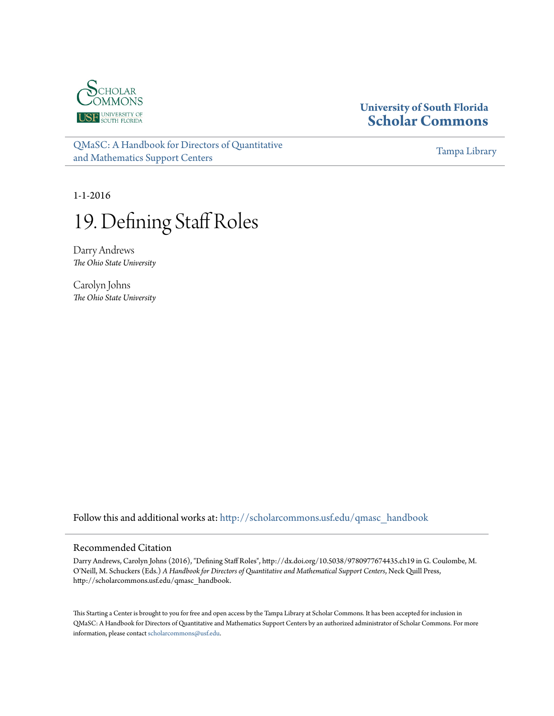

## **University of South Florida [Scholar Commons](http://scholarcommons.usf.edu?utm_source=scholarcommons.usf.edu%2Fqmasc_handbook%2F19&utm_medium=PDF&utm_campaign=PDFCoverPages)**

[QMaSC: A Handbook for Directors of Quantitative](http://scholarcommons.usf.edu/qmasc_handbook?utm_source=scholarcommons.usf.edu%2Fqmasc_handbook%2F19&utm_medium=PDF&utm_campaign=PDFCoverPages) [and Mathematics Support Centers](http://scholarcommons.usf.edu/qmasc_handbook?utm_source=scholarcommons.usf.edu%2Fqmasc_handbook%2F19&utm_medium=PDF&utm_campaign=PDFCoverPages)

[Tampa Library](http://scholarcommons.usf.edu/tlib?utm_source=scholarcommons.usf.edu%2Fqmasc_handbook%2F19&utm_medium=PDF&utm_campaign=PDFCoverPages)

1-1-2016

# 19. Defining Staff Roles

Darry Andrews *The Ohio State University*

Carolyn Johns *The Ohio State University*

Follow this and additional works at: [http://scholarcommons.usf.edu/qmasc\\_handbook](http://scholarcommons.usf.edu/qmasc_handbook?utm_source=scholarcommons.usf.edu%2Fqmasc_handbook%2F19&utm_medium=PDF&utm_campaign=PDFCoverPages)

#### Recommended Citation

Darry Andrews, Carolyn Johns (2016), "Defining Staff Roles", http://dx.doi.org/10.5038/9780977674435.ch19 in G. Coulombe, M. O'Neill, M. Schuckers (Eds.) *A Handbook for Directors of Quantitative and Mathematical Support Centers*, Neck Quill Press, http://scholarcommons.usf.edu/qmasc\_handbook.

This Starting a Center is brought to you for free and open access by the Tampa Library at Scholar Commons. It has been accepted for inclusion in QMaSC: A Handbook for Directors of Quantitative and Mathematics Support Centers by an authorized administrator of Scholar Commons. For more information, please contact [scholarcommons@usf.edu.](mailto:scholarcommons@usf.edu)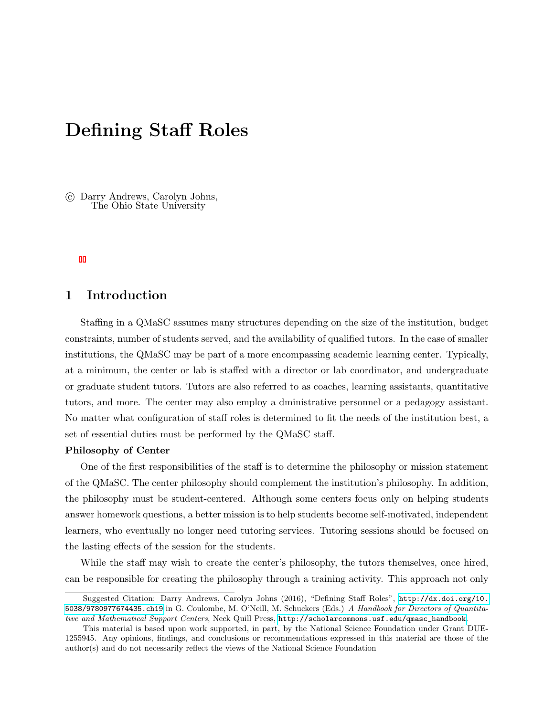## Defining Staff Roles

 c Darry Andrews, Carolyn Johns, The Ohio State University

## 1 Introduction

Staffing in a QMaSC assumes many structures depending on the size of the institution, budget constraints, number of students served, and the availability of qualified tutors. In the case of smaller institutions, the QMaSC may be part of a more encompassing academic learning center. Typically, at a minimum, the center or lab is staffed with a director or lab coordinator, and undergraduate or graduate student tutors. Tutors are also referred to as coaches, learning assistants, quantitative tutors, and more. The center may also employ a dministrative personnel or a pedagogy assistant. No matter what configuration of staff roles is determined to fit the needs of the institution best, a set of essential duties must be performed by the QMaSC staff.

#### Philosophy of Center

One of the first responsibilities of the staff is to determine the philosophy or mission statement of the QMaSC. The center philosophy should complement the institution's philosophy. In addition, the philosophy must be student-centered. Although some centers focus only on helping students answer homework questions, a better mission is to help students become self-motivated, independent learners, who eventually no longer need tutoring services. Tutoring sessions should be focused on the lasting effects of the session for the students.

While the staff may wish to create the center's philosophy, the tutors themselves, once hired, can be responsible for creating the philosophy through a training activity. This approach not only

Suggested Citation: Darry Andrews, Carolyn Johns (2016), "Defining Staff Roles", [http://dx.doi.org/10.](http://dx.doi.org/10.5038/9780977674435.ch19) [5038/9780977674435.ch19](http://dx.doi.org/10.5038/9780977674435.ch19) in G. Coulombe, M. O'Neill, M. Schuckers (Eds.) A Handbook for Directors of Quantitative and Mathematical Support Centers, Neck Quill Press, [http://scholarcommons.usf.edu/qmasc\\_handbook](http://scholarcommons.usf.edu/qmasc_handbook).

This material is based upon work supported, in part, by the National Science Foundation under Grant DUE-1255945. Any opinions, findings, and conclusions or recommendations expressed in this material are those of the author(s) and do not necessarily reflect the views of the National Science Foundation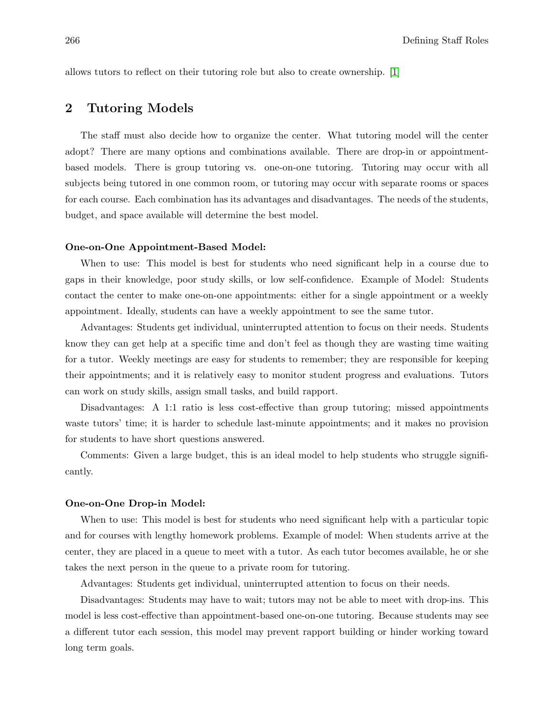allows tutors to reflect on their tutoring role but also to create ownership. [1]

## 2 Tutoring Models

The staff must also decide how to organize the center. What tutoring model will the center adopt? There are many options and combinations available. There are drop-in or appointmentbased models. There is group tutoring vs. one-on-one tutoring. Tutoring may occur with all subjects being tutored in one common room, or tutoring may occur with separate rooms or spaces for each course. Each combination has its advantages and disadvantages. The needs of the students, budget, and space available will determine the best model.

#### One-on-One Appointment-Based Model:

When to use: This model is best for students who need significant help in a course due to gaps in their knowledge, poor study skills, or low self-confidence. Example of Model: Students contact the center to make one-on-one appointments: either for a single appointment or a weekly appointment. Ideally, students can have a weekly appointment to see the same tutor.

Advantages: Students get individual, uninterrupted attention to focus on their needs. Students know they can get help at a specific time and don't feel as though they are wasting time waiting for a tutor. Weekly meetings are easy for students to remember; they are responsible for keeping their appointments; and it is relatively easy to monitor student progress and evaluations. Tutors can work on study skills, assign small tasks, and build rapport.

Disadvantages: A 1:1 ratio is less cost-effective than group tutoring; missed appointments waste tutors' time; it is harder to schedule last-minute appointments; and it makes no provision for students to have short questions answered.

Comments: Given a large budget, this is an ideal model to help students who struggle significantly.

#### One-on-One Drop-in Model:

When to use: This model is best for students who need significant help with a particular topic and for courses with lengthy homework problems. Example of model: When students arrive at the center, they are placed in a queue to meet with a tutor. As each tutor becomes available, he or she takes the next person in the queue to a private room for tutoring.

Advantages: Students get individual, uninterrupted attention to focus on their needs.

Disadvantages: Students may have to wait; tutors may not be able to meet with drop-ins. This model is less cost-effective than appointment-based one-on-one tutoring. Because students may see a different tutor each session, this model may prevent rapport building or hinder working toward long term goals.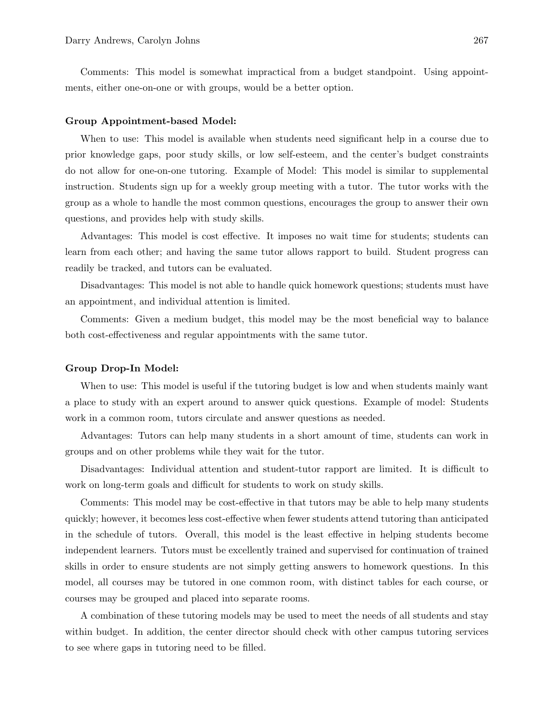Comments: This model is somewhat impractical from a budget standpoint. Using appointments, either one-on-one or with groups, would be a better option.

#### Group Appointment-based Model:

When to use: This model is available when students need significant help in a course due to prior knowledge gaps, poor study skills, or low self-esteem, and the center's budget constraints do not allow for one-on-one tutoring. Example of Model: This model is similar to supplemental instruction. Students sign up for a weekly group meeting with a tutor. The tutor works with the group as a whole to handle the most common questions, encourages the group to answer their own questions, and provides help with study skills.

Advantages: This model is cost effective. It imposes no wait time for students; students can learn from each other; and having the same tutor allows rapport to build. Student progress can readily be tracked, and tutors can be evaluated.

Disadvantages: This model is not able to handle quick homework questions; students must have an appointment, and individual attention is limited.

Comments: Given a medium budget, this model may be the most beneficial way to balance both cost-effectiveness and regular appointments with the same tutor.

#### Group Drop-In Model:

When to use: This model is useful if the tutoring budget is low and when students mainly want a place to study with an expert around to answer quick questions. Example of model: Students work in a common room, tutors circulate and answer questions as needed.

Advantages: Tutors can help many students in a short amount of time, students can work in groups and on other problems while they wait for the tutor.

Disadvantages: Individual attention and student-tutor rapport are limited. It is difficult to work on long-term goals and difficult for students to work on study skills.

Comments: This model may be cost-effective in that tutors may be able to help many students quickly; however, it becomes less cost-effective when fewer students attend tutoring than anticipated in the schedule of tutors. Overall, this model is the least effective in helping students become independent learners. Tutors must be excellently trained and supervised for continuation of trained skills in order to ensure students are not simply getting answers to homework questions. In this model, all courses may be tutored in one common room, with distinct tables for each course, or courses may be grouped and placed into separate rooms.

A combination of these tutoring models may be used to meet the needs of all students and stay within budget. In addition, the center director should check with other campus tutoring services to see where gaps in tutoring need to be filled.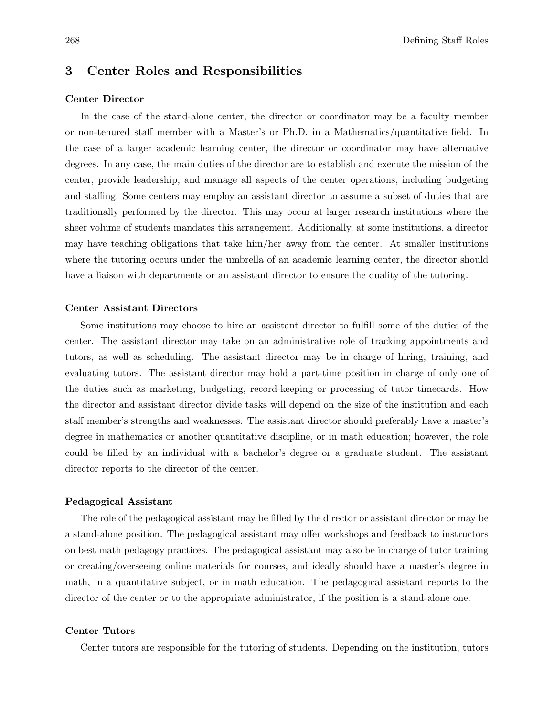## 3 Center Roles and Responsibilities

#### Center Director

In the case of the stand-alone center, the director or coordinator may be a faculty member or non-tenured staff member with a Master's or Ph.D. in a Mathematics/quantitative field. In the case of a larger academic learning center, the director or coordinator may have alternative degrees. In any case, the main duties of the director are to establish and execute the mission of the center, provide leadership, and manage all aspects of the center operations, including budgeting and staffing. Some centers may employ an assistant director to assume a subset of duties that are traditionally performed by the director. This may occur at larger research institutions where the sheer volume of students mandates this arrangement. Additionally, at some institutions, a director may have teaching obligations that take him/her away from the center. At smaller institutions where the tutoring occurs under the umbrella of an academic learning center, the director should have a liaison with departments or an assistant director to ensure the quality of the tutoring.

#### Center Assistant Directors

Some institutions may choose to hire an assistant director to fulfill some of the duties of the center. The assistant director may take on an administrative role of tracking appointments and tutors, as well as scheduling. The assistant director may be in charge of hiring, training, and evaluating tutors. The assistant director may hold a part-time position in charge of only one of the duties such as marketing, budgeting, record-keeping or processing of tutor timecards. How the director and assistant director divide tasks will depend on the size of the institution and each staff member's strengths and weaknesses. The assistant director should preferably have a master's degree in mathematics or another quantitative discipline, or in math education; however, the role could be filled by an individual with a bachelor's degree or a graduate student. The assistant director reports to the director of the center.

#### Pedagogical Assistant

The role of the pedagogical assistant may be filled by the director or assistant director or may be a stand-alone position. The pedagogical assistant may offer workshops and feedback to instructors on best math pedagogy practices. The pedagogical assistant may also be in charge of tutor training or creating/overseeing online materials for courses, and ideally should have a master's degree in math, in a quantitative subject, or in math education. The pedagogical assistant reports to the director of the center or to the appropriate administrator, if the position is a stand-alone one.

#### Center Tutors

Center tutors are responsible for the tutoring of students. Depending on the institution, tutors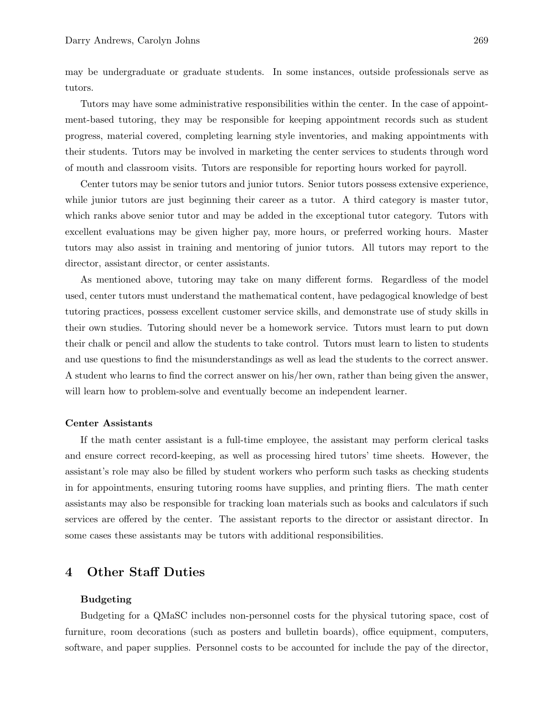may be undergraduate or graduate students. In some instances, outside professionals serve as tutors.

Tutors may have some administrative responsibilities within the center. In the case of appointment-based tutoring, they may be responsible for keeping appointment records such as student progress, material covered, completing learning style inventories, and making appointments with their students. Tutors may be involved in marketing the center services to students through word of mouth and classroom visits. Tutors are responsible for reporting hours worked for payroll.

Center tutors may be senior tutors and junior tutors. Senior tutors possess extensive experience, while junior tutors are just beginning their career as a tutor. A third category is master tutor, which ranks above senior tutor and may be added in the exceptional tutor category. Tutors with excellent evaluations may be given higher pay, more hours, or preferred working hours. Master tutors may also assist in training and mentoring of junior tutors. All tutors may report to the director, assistant director, or center assistants.

As mentioned above, tutoring may take on many different forms. Regardless of the model used, center tutors must understand the mathematical content, have pedagogical knowledge of best tutoring practices, possess excellent customer service skills, and demonstrate use of study skills in their own studies. Tutoring should never be a homework service. Tutors must learn to put down their chalk or pencil and allow the students to take control. Tutors must learn to listen to students and use questions to find the misunderstandings as well as lead the students to the correct answer. A student who learns to find the correct answer on his/her own, rather than being given the answer, will learn how to problem-solve and eventually become an independent learner.

#### Center Assistants

If the math center assistant is a full-time employee, the assistant may perform clerical tasks and ensure correct record-keeping, as well as processing hired tutors' time sheets. However, the assistant's role may also be filled by student workers who perform such tasks as checking students in for appointments, ensuring tutoring rooms have supplies, and printing fliers. The math center assistants may also be responsible for tracking loan materials such as books and calculators if such services are offered by the center. The assistant reports to the director or assistant director. In some cases these assistants may be tutors with additional responsibilities.

## 4 Other Staff Duties

#### Budgeting

Budgeting for a QMaSC includes non-personnel costs for the physical tutoring space, cost of furniture, room decorations (such as posters and bulletin boards), office equipment, computers, software, and paper supplies. Personnel costs to be accounted for include the pay of the director,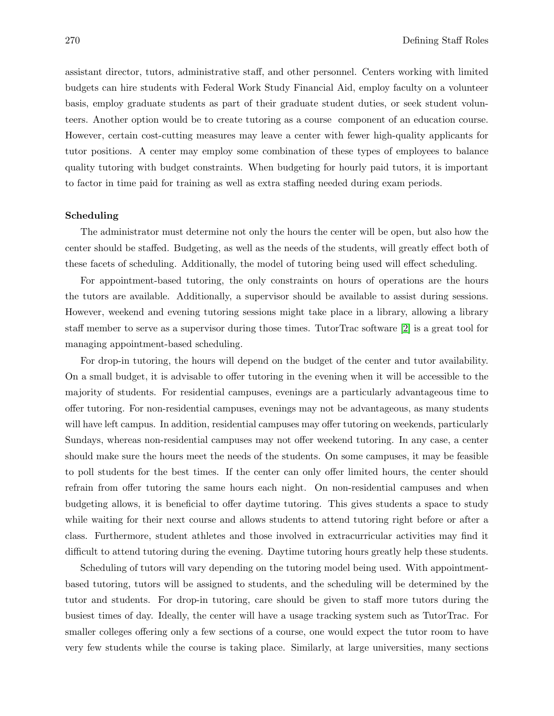assistant director, tutors, administrative staff, and other personnel. Centers working with limited budgets can hire students with Federal Work Study Financial Aid, employ faculty on a volunteer basis, employ graduate students as part of their graduate student duties, or seek student volunteers. Another option would be to create tutoring as a course component of an education course. However, certain cost-cutting measures may leave a center with fewer high-quality applicants for tutor positions. A center may employ some combination of these types of employees to balance quality tutoring with budget constraints. When budgeting for hourly paid tutors, it is important to factor in time paid for training as well as extra staffing needed during exam periods.

#### Scheduling

The administrator must determine not only the hours the center will be open, but also how the center should be staffed. Budgeting, as well as the needs of the students, will greatly effect both of these facets of scheduling. Additionally, the model of tutoring being used will effect scheduling.

For appointment-based tutoring, the only constraints on hours of operations are the hours the tutors are available. Additionally, a supervisor should be available to assist during sessions. However, weekend and evening tutoring sessions might take place in a library, allowing a library staff member to serve as a supervisor during those times. TutorTrac software [2] is a great tool for managing appointment-based scheduling.

For drop-in tutoring, the hours will depend on the budget of the center and tutor availability. On a small budget, it is advisable to offer tutoring in the evening when it will be accessible to the majority of students. For residential campuses, evenings are a particularly advantageous time to offer tutoring. For non-residential campuses, evenings may not be advantageous, as many students will have left campus. In addition, residential campuses may offer tutoring on weekends, particularly Sundays, whereas non-residential campuses may not offer weekend tutoring. In any case, a center should make sure the hours meet the needs of the students. On some campuses, it may be feasible to poll students for the best times. If the center can only offer limited hours, the center should refrain from offer tutoring the same hours each night. On non-residential campuses and when budgeting allows, it is beneficial to offer daytime tutoring. This gives students a space to study while waiting for their next course and allows students to attend tutoring right before or after a class. Furthermore, student athletes and those involved in extracurricular activities may find it difficult to attend tutoring during the evening. Daytime tutoring hours greatly help these students.

Scheduling of tutors will vary depending on the tutoring model being used. With appointmentbased tutoring, tutors will be assigned to students, and the scheduling will be determined by the tutor and students. For drop-in tutoring, care should be given to staff more tutors during the busiest times of day. Ideally, the center will have a usage tracking system such as TutorTrac. For smaller colleges offering only a few sections of a course, one would expect the tutor room to have very few students while the course is taking place. Similarly, at large universities, many sections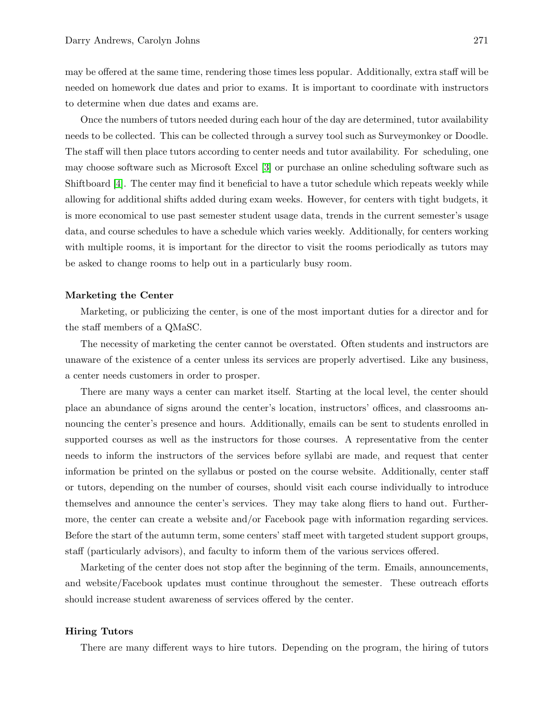may be offered at the same time, rendering those times less popular. Additionally, extra staff will be needed on homework due dates and prior to exams. It is important to coordinate with instructors to determine when due dates and exams are.

Once the numbers of tutors needed during each hour of the day are determined, tutor availability needs to be collected. This can be collected through a survey tool such as Surveymonkey or Doodle. The staff will then place tutors according to center needs and tutor availability. For scheduling, one may choose software such as Microsoft Excel [3] or purchase an online scheduling software such as Shiftboard [4]. The center may find it beneficial to have a tutor schedule which repeats weekly while allowing for additional shifts added during exam weeks. However, for centers with tight budgets, it is more economical to use past semester student usage data, trends in the current semester's usage data, and course schedules to have a schedule which varies weekly. Additionally, for centers working with multiple rooms, it is important for the director to visit the rooms periodically as tutors may be asked to change rooms to help out in a particularly busy room.

#### Marketing the Center

Marketing, or publicizing the center, is one of the most important duties for a director and for the staff members of a QMaSC.

The necessity of marketing the center cannot be overstated. Often students and instructors are unaware of the existence of a center unless its services are properly advertised. Like any business, a center needs customers in order to prosper.

There are many ways a center can market itself. Starting at the local level, the center should place an abundance of signs around the center's location, instructors' offices, and classrooms announcing the center's presence and hours. Additionally, emails can be sent to students enrolled in supported courses as well as the instructors for those courses. A representative from the center needs to inform the instructors of the services before syllabi are made, and request that center information be printed on the syllabus or posted on the course website. Additionally, center staff or tutors, depending on the number of courses, should visit each course individually to introduce themselves and announce the center's services. They may take along fliers to hand out. Furthermore, the center can create a website and/or Facebook page with information regarding services. Before the start of the autumn term, some centers' staff meet with targeted student support groups, staff (particularly advisors), and faculty to inform them of the various services offered.

Marketing of the center does not stop after the beginning of the term. Emails, announcements, and website/Facebook updates must continue throughout the semester. These outreach efforts should increase student awareness of services offered by the center.

#### Hiring Tutors

There are many different ways to hire tutors. Depending on the program, the hiring of tutors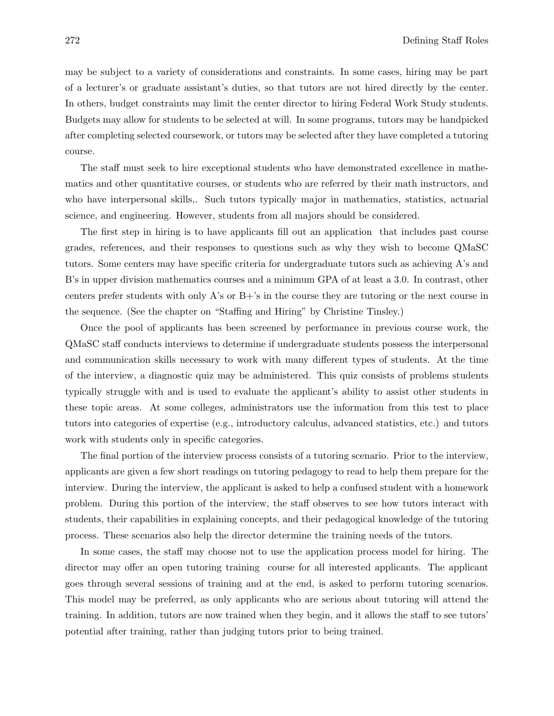may be subject to a variety of considerations and constraints. In some cases, hiring may be part of a lecturer's or graduate assistant's duties, so that tutors are not hired directly by the center. In others, budget constraints may limit the center director to hiring Federal Work Study students. Budgets may allow for students to be selected at will. In some programs, tutors may be handpicked after completing selected coursework, or tutors may be selected after they have completed a tutoring course.

The staff must seek to hire exceptional students who have demonstrated excellence in mathematics and other quantitative courses, or students who are referred by their math instructors, and who have interpersonal skills,. Such tutors typically major in mathematics, statistics, actuarial science, and engineering. However, students from all majors should be considered.

The first step in hiring is to have applicants fill out an application that includes past course grades, references, and their responses to questions such as why they wish to become QMaSC tutors. Some centers may have specific criteria for undergraduate tutors such as achieving A's and B's in upper division mathematics courses and a minimum GPA of at least a 3.0. In contrast, other centers prefer students with only A's or B+'s in the course they are tutoring or the next course in the sequence. (See the chapter on "Staffing and Hiring" by Christine Tinsley.)

Once the pool of applicants has been screened by performance in previous course work, the QMaSC staff conducts interviews to determine if undergraduate students possess the interpersonal and communication skills necessary to work with many different types of students. At the time of the interview, a diagnostic quiz may be administered. This quiz consists of problems students typically struggle with and is used to evaluate the applicant's ability to assist other students in these topic areas. At some colleges, administrators use the information from this test to place tutors into categories of expertise (e.g., introductory calculus, advanced statistics, etc.) and tutors work with students only in specific categories.

The final portion of the interview process consists of a tutoring scenario. Prior to the interview, applicants are given a few short readings on tutoring pedagogy to read to help them prepare for the interview. During the interview, the applicant is asked to help a confused student with a homework problem. During this portion of the interview, the staff observes to see how tutors interact with students, their capabilities in explaining concepts, and their pedagogical knowledge of the tutoring process. These scenarios also help the director determine the training needs of the tutors.

In some cases, the staff may choose not to use the application process model for hiring. The director may offer an open tutoring training course for all interested applicants. The applicant goes through several sessions of training and at the end, is asked to perform tutoring scenarios. This model may be preferred, as only applicants who are serious about tutoring will attend the training. In addition, tutors are now trained when they begin, and it allows the staff to see tutors' potential after training, rather than judging tutors prior to being trained.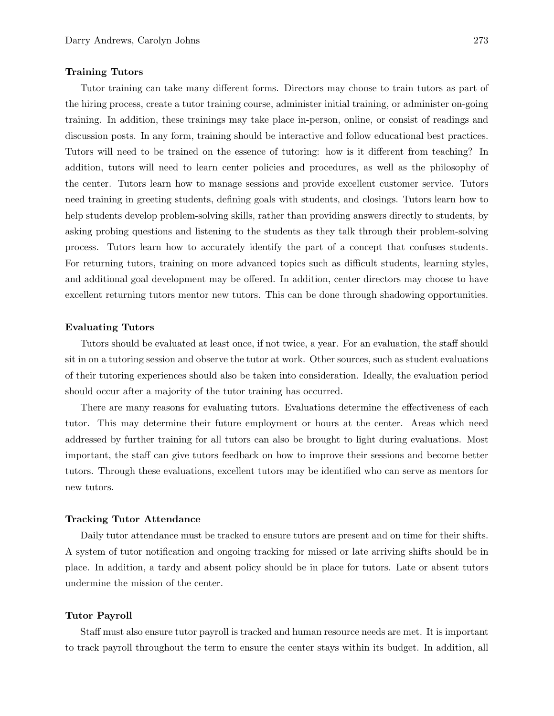#### Training Tutors

Tutor training can take many different forms. Directors may choose to train tutors as part of the hiring process, create a tutor training course, administer initial training, or administer on-going training. In addition, these trainings may take place in-person, online, or consist of readings and discussion posts. In any form, training should be interactive and follow educational best practices. Tutors will need to be trained on the essence of tutoring: how is it different from teaching? In addition, tutors will need to learn center policies and procedures, as well as the philosophy of the center. Tutors learn how to manage sessions and provide excellent customer service. Tutors need training in greeting students, defining goals with students, and closings. Tutors learn how to help students develop problem-solving skills, rather than providing answers directly to students, by asking probing questions and listening to the students as they talk through their problem-solving process. Tutors learn how to accurately identify the part of a concept that confuses students. For returning tutors, training on more advanced topics such as difficult students, learning styles, and additional goal development may be offered. In addition, center directors may choose to have excellent returning tutors mentor new tutors. This can be done through shadowing opportunities.

#### Evaluating Tutors

Tutors should be evaluated at least once, if not twice, a year. For an evaluation, the staff should sit in on a tutoring session and observe the tutor at work. Other sources, such as student evaluations of their tutoring experiences should also be taken into consideration. Ideally, the evaluation period should occur after a majority of the tutor training has occurred.

There are many reasons for evaluating tutors. Evaluations determine the effectiveness of each tutor. This may determine their future employment or hours at the center. Areas which need addressed by further training for all tutors can also be brought to light during evaluations. Most important, the staff can give tutors feedback on how to improve their sessions and become better tutors. Through these evaluations, excellent tutors may be identified who can serve as mentors for new tutors.

#### Tracking Tutor Attendance

Daily tutor attendance must be tracked to ensure tutors are present and on time for their shifts. A system of tutor notification and ongoing tracking for missed or late arriving shifts should be in place. In addition, a tardy and absent policy should be in place for tutors. Late or absent tutors undermine the mission of the center.

#### Tutor Payroll

Staff must also ensure tutor payroll is tracked and human resource needs are met. It is important to track payroll throughout the term to ensure the center stays within its budget. In addition, all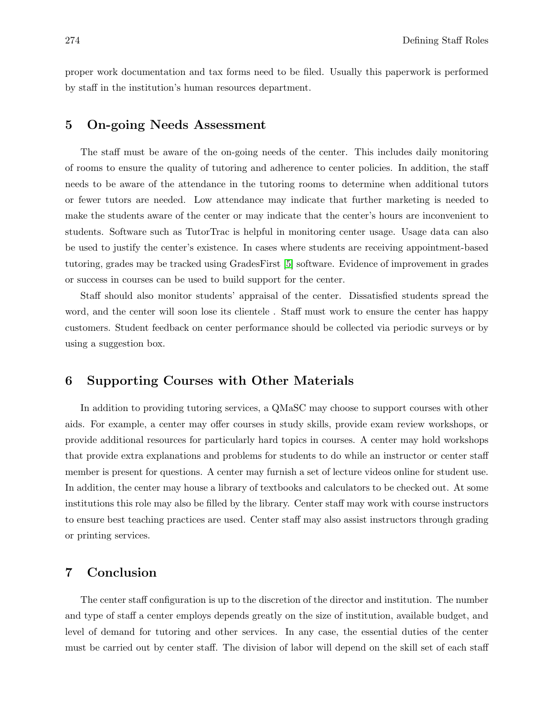proper work documentation and tax forms need to be filed. Usually this paperwork is performed by staff in the institution's human resources department.

### 5 On-going Needs Assessment

The staff must be aware of the on-going needs of the center. This includes daily monitoring of rooms to ensure the quality of tutoring and adherence to center policies. In addition, the staff needs to be aware of the attendance in the tutoring rooms to determine when additional tutors or fewer tutors are needed. Low attendance may indicate that further marketing is needed to make the students aware of the center or may indicate that the center's hours are inconvenient to students. Software such as TutorTrac is helpful in monitoring center usage. Usage data can also be used to justify the center's existence. In cases where students are receiving appointment-based tutoring, grades may be tracked using GradesFirst [5] software. Evidence of improvement in grades or success in courses can be used to build support for the center.

Staff should also monitor students' appraisal of the center. Dissatisfied students spread the word, and the center will soon lose its clientele . Staff must work to ensure the center has happy customers. Student feedback on center performance should be collected via periodic surveys or by using a suggestion box.

## 6 Supporting Courses with Other Materials

In addition to providing tutoring services, a QMaSC may choose to support courses with other aids. For example, a center may offer courses in study skills, provide exam review workshops, or provide additional resources for particularly hard topics in courses. A center may hold workshops that provide extra explanations and problems for students to do while an instructor or center staff member is present for questions. A center may furnish a set of lecture videos online for student use. In addition, the center may house a library of textbooks and calculators to be checked out. At some institutions this role may also be filled by the library. Center staff may work with course instructors to ensure best teaching practices are used. Center staff may also assist instructors through grading or printing services.

## 7 Conclusion

The center staff configuration is up to the discretion of the director and institution. The number and type of staff a center employs depends greatly on the size of institution, available budget, and level of demand for tutoring and other services. In any case, the essential duties of the center must be carried out by center staff. The division of labor will depend on the skill set of each staff